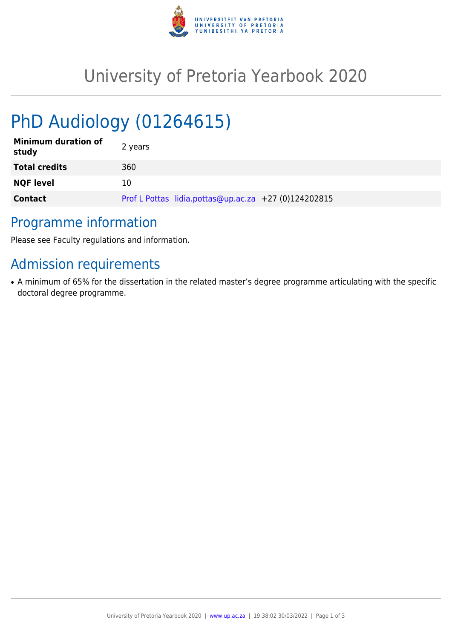

# University of Pretoria Yearbook 2020

# PhD Audiology (01264615)

| <b>Minimum duration of</b><br>study | 2 years                                              |
|-------------------------------------|------------------------------------------------------|
| <b>Total credits</b>                | 360                                                  |
| <b>NQF level</b>                    | 10                                                   |
| <b>Contact</b>                      | Prof L Pottas lidia.pottas@up.ac.za +27 (0)124202815 |

### Programme information

Please see Faculty regulations and information.

## Admission requirements

• A minimum of 65% for the dissertation in the related master's degree programme articulating with the specific doctoral degree programme.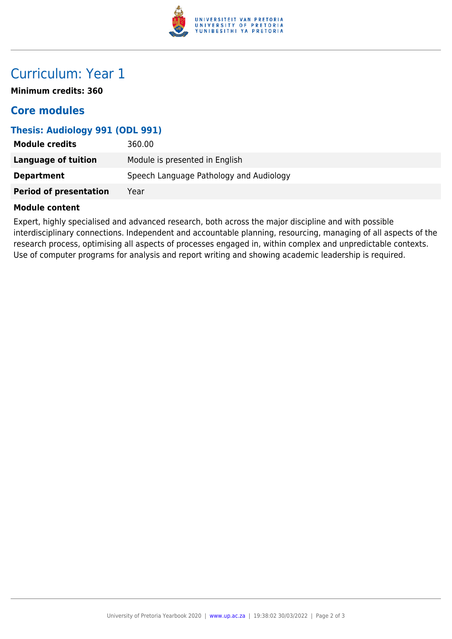

## Curriculum: Year 1

**Minimum credits: 360**

### **Core modules**

#### **Thesis: Audiology 991 (ODL 991)**

| <b>Module credits</b>         | 360.00                                  |
|-------------------------------|-----------------------------------------|
| Language of tuition           | Module is presented in English          |
| <b>Department</b>             | Speech Language Pathology and Audiology |
| <b>Period of presentation</b> | Year                                    |

#### **Module content**

Expert, highly specialised and advanced research, both across the major discipline and with possible interdisciplinary connections. Independent and accountable planning, resourcing, managing of all aspects of the research process, optimising all aspects of processes engaged in, within complex and unpredictable contexts. Use of computer programs for analysis and report writing and showing academic leadership is required.